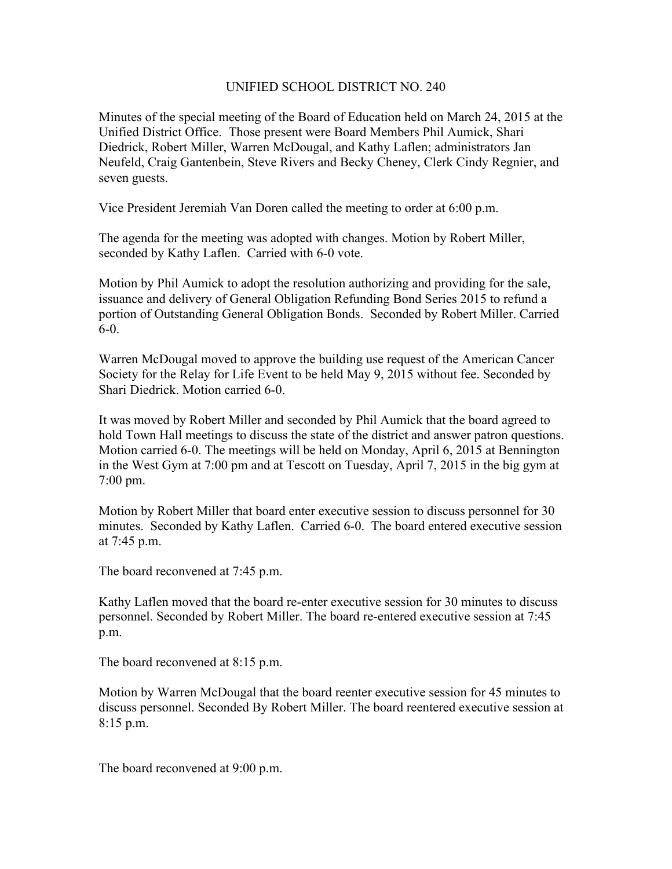## UNIFIED SCHOOL DISTRICT NO. 240

Minutes of the special meeting of the Board of Education held on March 24, 2015 at the Unified District Office. Those present were Board Members Phil Aumick, Shari Diedrick, Robert Miller, Warren McDougal, and Kathy Laflen; administrators Jan Neufeld, Craig Gantenbein, Steve Rivers and Becky Cheney, Clerk Cindy Regnier, and seven guests.

Vice President Jeremiah Van Doren called the meeting to order at 6:00 p.m.

The agenda for the meeting was adopted with changes. Motion by Robert Miller, seconded by Kathy Laflen. Carried with 6-0 vote.

Motion by Phil Aumick to adopt the resolution authorizing and providing for the sale, issuance and delivery of General Obligation Refunding Bond Series 2015 to refund a portion of Outstanding General Obligation Bonds. Seconded by Robert Miller. Carried 6-0.

Warren McDougal moved to approve the building use request of the American Cancer Society for the Relay for Life Event to be held May 9, 2015 without fee. Seconded by Shari Diedrick. Motion carried 6-0.

It was moved by Robert Miller and seconded by Phil Aumick that the board agreed to hold Town Hall meetings to discuss the state of the district and answer patron questions. Motion carried 6-0. The meetings will be held on Monday, April 6, 2015 at Bennington in the West Gym at 7:00 pm and at Tescott on Tuesday, April 7, 2015 in the big gym at 7:00 pm.

Motion by Robert Miller that board enter executive session to discuss personnel for 30 minutes. Seconded by Kathy Laflen. Carried 6-0. The board entered executive session at 7:45 p.m.

The board reconvened at 7:45 p.m.

Kathy Laflen moved that the board re-enter executive session for 30 minutes to discuss personnel. Seconded by Robert Miller. The board re-entered executive session at 7:45 p.m.

The board reconvened at 8:15 p.m.

Motion by Warren McDougal that the board reenter executive session for 45 minutes to discuss personnel. Seconded By Robert Miller. The board reentered executive session at 8:15 p.m.

The board reconvened at 9:00 p.m.